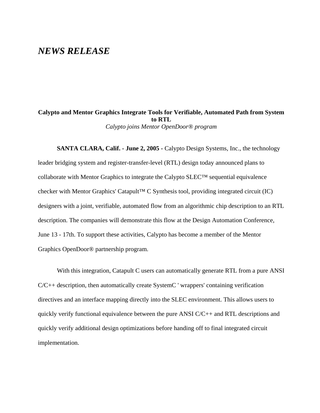## *NEWS RELEASE*

## **Calypto and Mentor Graphics Integrate Tools for Verifiable, Automated Path from System to RTL** *Calypto joins Mentor OpenDoor® program*

**SANTA CLARA, Calif. - June 2, 2005 -** Calypto Design Systems, Inc., the technology leader bridging system and register-transfer-level (RTL) design today announced plans to collaborate with Mentor Graphics to integrate the Calypto  $SLEC^{TM}$  sequential equivalence checker with Mentor Graphics' Catapult™ C Synthesis tool, providing integrated circuit (IC) designers with a joint, verifiable, automated flow from an algorithmic chip description to an RTL description. The companies will demonstrate this flow at the Design Automation Conference, June 13 - 17th. To support these activities, Calypto has become a member of the Mentor Graphics OpenDoor® partnership program.

With this integration, Catapult C users can automatically generate RTL from a pure ANSI  $C/C++$  description, then automatically create SystemC ' wrappers' containing verification directives and an interface mapping directly into the SLEC environment. This allows users to quickly verify functional equivalence between the pure ANSI C/C++ and RTL descriptions and quickly verify additional design optimizations before handing off to final integrated circuit implementation.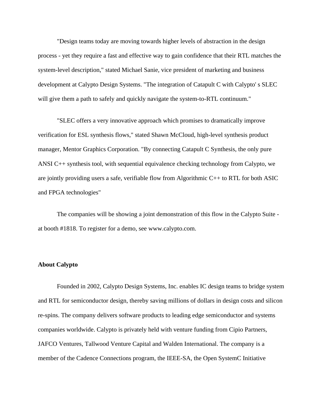"Design teams today are moving towards higher levels of abstraction in the design process - yet they require a fast and effective way to gain confidence that their RTL matches the system-level description," stated Michael Sanie, vice president of marketing and business development at Calypto Design Systems. "The integration of Catapult C with Calypto' s SLEC will give them a path to safely and quickly navigate the system-to-RTL continuum."

"SLEC offers a very innovative approach which promises to dramatically improve verification for ESL synthesis flows," stated Shawn McCloud, high-level synthesis product manager, Mentor Graphics Corporation. "By connecting Catapult C Synthesis, the only pure ANSI C++ synthesis tool, with sequential equivalence checking technology from Calypto, we are jointly providing users a safe, verifiable flow from Algorithmic C++ to RTL for both ASIC and FPGA technologies"

The companies will be showing a joint demonstration of this flow in the Calypto Suite at booth #1818. To register for a demo, see www.calypto.com.

## **About Calypto**

Founded in 2002, Calypto Design Systems, Inc. enables IC design teams to bridge system and RTL for semiconductor design, thereby saving millions of dollars in design costs and silicon re-spins. The company delivers software products to leading edge semiconductor and systems companies worldwide. Calypto is privately held with venture funding from Cipio Partners, JAFCO Ventures, Tallwood Venture Capital and Walden International. The company is a member of the Cadence Connections program, the IEEE-SA, the Open SystemC Initiative